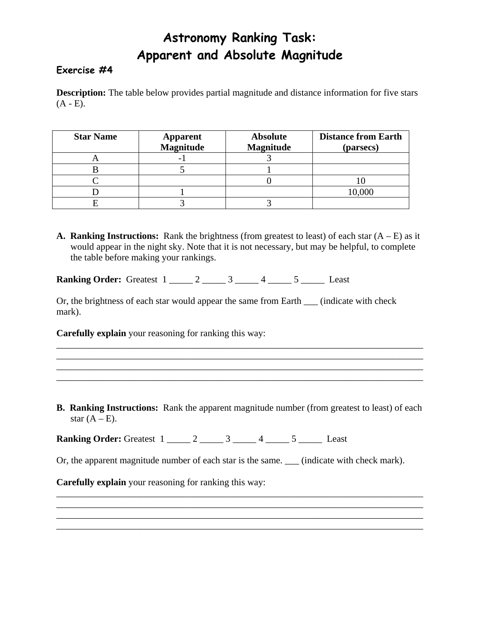## **Astronomy Ranking Task: Apparent and Absolute Magnitude**

## **Exercise #4**

**Description:** The table below provides partial magnitude and distance information for five stars  $(A - E)$ .

| <b>Star Name</b> | <b>Apparent</b><br><b>Magnitude</b> | <b>Absolute</b><br><b>Magnitude</b> | <b>Distance from Earth</b><br>(parsecs) |
|------------------|-------------------------------------|-------------------------------------|-----------------------------------------|
|                  |                                     |                                     |                                         |
|                  |                                     |                                     |                                         |
|                  |                                     |                                     |                                         |
|                  |                                     |                                     | 10,000                                  |
|                  |                                     |                                     |                                         |

**A. Ranking Instructions:** Rank the brightness (from greatest to least) of each star  $(A - E)$  as it would appear in the night sky. Note that it is not necessary, but may be helpful, to complete the table before making your rankings.

**Ranking Order:** Greatest 1 \_\_\_\_\_ 2 \_\_\_\_\_ 3 \_\_\_\_\_ 4 \_\_\_\_ 5 \_\_\_\_\_ Least

Or, the brightness of each star would appear the same from Earth \_\_\_ (indicate with check mark).

**Carefully explain** your reasoning for ranking this way:

**B. Ranking Instructions:** Rank the apparent magnitude number (from greatest to least) of each star  $(A - E)$ .

\_\_\_\_\_\_\_\_\_\_\_\_\_\_\_\_\_\_\_\_\_\_\_\_\_\_\_\_\_\_\_\_\_\_\_\_\_\_\_\_\_\_\_\_\_\_\_\_\_\_\_\_\_\_\_\_\_\_\_\_\_\_\_\_\_\_\_\_\_\_\_\_\_\_\_\_\_\_ \_\_\_\_\_\_\_\_\_\_\_\_\_\_\_\_\_\_\_\_\_\_\_\_\_\_\_\_\_\_\_\_\_\_\_\_\_\_\_\_\_\_\_\_\_\_\_\_\_\_\_\_\_\_\_\_\_\_\_\_\_\_\_\_\_\_\_\_\_\_\_\_\_\_\_\_\_\_ \_\_\_\_\_\_\_\_\_\_\_\_\_\_\_\_\_\_\_\_\_\_\_\_\_\_\_\_\_\_\_\_\_\_\_\_\_\_\_\_\_\_\_\_\_\_\_\_\_\_\_\_\_\_\_\_\_\_\_\_\_\_\_\_\_\_\_\_\_\_\_\_\_\_\_\_\_\_ \_\_\_\_\_\_\_\_\_\_\_\_\_\_\_\_\_\_\_\_\_\_\_\_\_\_\_\_\_\_\_\_\_\_\_\_\_\_\_\_\_\_\_\_\_\_\_\_\_\_\_\_\_\_\_\_\_\_\_\_\_\_\_\_\_\_\_\_\_\_\_\_\_\_\_\_\_\_

**Ranking Order:** Greatest  $1 \_2 \_2 \_3 \_4 \_5 \_5 \_$  Least

Or, the apparent magnitude number of each star is the same. \_\_\_ (indicate with check mark).

\_\_\_\_\_\_\_\_\_\_\_\_\_\_\_\_\_\_\_\_\_\_\_\_\_\_\_\_\_\_\_\_\_\_\_\_\_\_\_\_\_\_\_\_\_\_\_\_\_\_\_\_\_\_\_\_\_\_\_\_\_\_\_\_\_\_\_\_\_\_\_\_\_\_\_\_\_\_ \_\_\_\_\_\_\_\_\_\_\_\_\_\_\_\_\_\_\_\_\_\_\_\_\_\_\_\_\_\_\_\_\_\_\_\_\_\_\_\_\_\_\_\_\_\_\_\_\_\_\_\_\_\_\_\_\_\_\_\_\_\_\_\_\_\_\_\_\_\_\_\_\_\_\_\_\_\_ \_\_\_\_\_\_\_\_\_\_\_\_\_\_\_\_\_\_\_\_\_\_\_\_\_\_\_\_\_\_\_\_\_\_\_\_\_\_\_\_\_\_\_\_\_\_\_\_\_\_\_\_\_\_\_\_\_\_\_\_\_\_\_\_\_\_\_\_\_\_\_\_\_\_\_\_\_\_ \_\_\_\_\_\_\_\_\_\_\_\_\_\_\_\_\_\_\_\_\_\_\_\_\_\_\_\_\_\_\_\_\_\_\_\_\_\_\_\_\_\_\_\_\_\_\_\_\_\_\_\_\_\_\_\_\_\_\_\_\_\_\_\_\_\_\_\_\_\_\_\_\_\_\_\_\_\_

**Carefully explain** your reasoning for ranking this way: